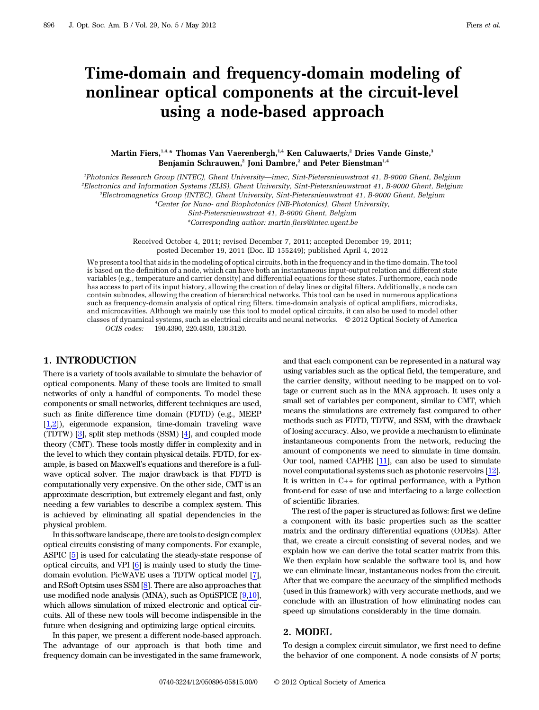# Time-domain and frequency-domain modeling of nonlinear optical components at the circuit-level using a node-based approach

#### Martin Fiers,<sup>1,4,\*</sup> Thomas Van Vaerenbergh,<sup>1,4</sup> Ken Caluwaerts,<sup>2</sup> Dries Vande Ginste,<sup>3</sup> Benjamin Schrauwen,<sup>2</sup> Joni Dambre,<sup>2</sup> and Peter Bienstman<sup>1,4</sup>

1 Photonics Research Group (INTEC), Ghent University*—*imec, Sint-Pietersnieuwstraat 41, B-9000 Ghent, Belgium 2 Electronics and Information Systems (ELIS), Ghent University, Sint-Pietersnieuwstraat 41, B-9000 Ghent, Belgium

3 Electromagnetics Group (INTEC), Ghent University, Sint-Pietersnieuwstraat 41, B-9000 Ghent, Belgium

4 Center for Nano- and Biophotonics (NB-Photonics), Ghent University,

Sint-Pietersnieuwstraat 41, B-9000 Ghent, Belgium

\*Corresponding author: martin.fiers@intec.ugent.be

Received October 4, 2011; revised December 7, 2011; accepted December 19, 2011; posted December 19, 2011 (Doc. ID 155249); published April 4, 2012

We present a tool that aids in the modeling of optical circuits, both in the frequency and in the time domain. The tool is based on the definition of a node, which can have both an instantaneous input-output relation and different state variables (e.g., temperature and carrier density) and differential equations for these states. Furthermore, each node has access to part of its input history, allowing the creation of delay lines or digital filters. Additionally, a node can contain subnodes, allowing the creation of hierarchical networks. This tool can be used in numerous applications such as frequency-domain analysis of optical ring filters, time-domain analysis of optical amplifiers, microdisks, and microcavities. Although we mainly use this tool to model optical circuits, it can also be used to model other classes of dynamical systems, such as electrical circuits and neural networks. © 2012 Optical Society of America OCIS codes: 190.4390, 220.4830, 130.3120.

# 1. INTRODUCTION

There is a variety of tools available to simulate the behavior of optical components. Many of these tools are limited to small networks of only a handful of components. To model these components or small networks, different techniques are used, such as finite difference time domain (FDTD) (e.g., MEEP [[1](#page-4-0),[2](#page-4-1)]), eigenmode expansion, time-domain traveling wave (TDTW) [[3](#page-4-2)], split step methods (SSM) [[4](#page-4-3)], and coupled mode theory (CMT). These tools mostly differ in complexity and in the level to which they contain physical details. FDTD, for example, is based on Maxwell's equations and therefore is a fullwave optical solver. The major drawback is that FDTD is computationally very expensive. On the other side, CMT is an approximate description, but extremely elegant and fast, only needing a few variables to describe a complex system. This is achieved by eliminating all spatial dependencies in the physical problem.

In this software landscape, there are tools to design complex optical circuits consisting of many components. For example, ASPIC [[5](#page-4-4)] is used for calculating the steady-state response of optical circuits, and VPI [[6](#page-4-5)] is mainly used to study the timedomain evolution. PicWAVE uses a TDTW optical model [\[7\]](#page-4-6), and RSoft Optsim uses SSM [\[8\]](#page-4-7). There are also approaches that use modified node analysis (MNA), such as OptiSPICE [\[9,](#page-4-8)[10\]](#page-4-9), which allows simulation of mixed electronic and optical circuits. All of these new tools will become indispensible in the future when designing and optimizing large optical circuits.

In this paper, we present a different node-based approach. The advantage of our approach is that both time and frequency domain can be investigated in the same framework,

and that each component can be represented in a natural way using variables such as the optical field, the temperature, and the carrier density, without needing to be mapped on to voltage or current such as in the MNA approach. It uses only a small set of variables per component, similar to CMT, which means the simulations are extremely fast compared to other methods such as FDTD, TDTW, and SSM, with the drawback of losing accuracy. Also, we provide a mechanism to eliminate instantaneous components from the network, reducing the amount of components we need to simulate in time domain. Our tool, named CAPHE [[11\]](#page-4-10), can also be used to simulate novel computational systems such as photonic reservoirs [[12\]](#page-4-11). It is written in C++ for optimal performance, with a Python front-end for ease of use and interfacing to a large collection of scientific libraries.

The rest of the paper is structured as follows: first we define a component with its basic properties such as the scatter matrix and the ordinary differential equations (ODEs). After that, we create a circuit consisting of several nodes, and we explain how we can derive the total scatter matrix from this. We then explain how scalable the software tool is, and how we can eliminate linear, instantaneous nodes from the circuit. After that we compare the accuracy of the simplified methods (used in this framework) with very accurate methods, and we conclude with an illustration of how eliminating nodes can speed up simulations considerably in the time domain.

#### 2. MODEL

To design a complex circuit simulator, we first need to define the behavior of one component. A node consists of  $N$  ports;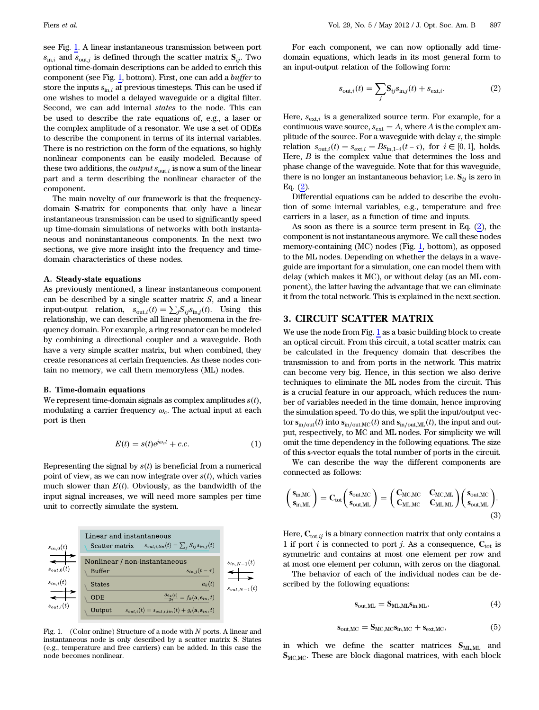see Fig. [1](#page-1-0). A linear instantaneous transmission between port  $s_{\text{in},i}$  and  $s_{\text{out},j}$  is defined through the scatter matrix  $S_{ij}$ . Two optional time-domain descriptions can be added to enrich this component (see Fig. [1,](#page-1-0) bottom). First, one can add a buffer to store the inputs  $s_{\text{in},i}$  at previous timesteps. This can be used if one wishes to model a delayed waveguide or a digital filter. Second, we can add internal states to the node. This can be used to describe the rate equations of, e.g., a laser or the complex amplitude of a resonator. We use a set of ODEs to describe the component in terms of its internal variables. There is no restriction on the form of the equations, so highly nonlinear components can be easily modeled. Because of these two additions, the *output*  $s_{\text{out},i}$  is now a sum of the linear part and a term describing the nonlinear character of the component.

The main novelty of our framework is that the frequencydomain S-matrix for components that only have a linear instantaneous transmission can be used to significantly speed up time-domain simulations of networks with both instantaneous and noninstantaneous components. In the next two sections, we give more insight into the frequency and timedomain characteristics of these nodes.

#### A. Steady-state equations

As previously mentioned, a linear instantaneous component can be described by a single scatter matrix  $S$ , and a linear input-output relation,  $s_{\text{out},i}(t) = \sum_j S_{ij} s_{\text{in},j}(t)$ . Using this relationship, we can describe all linear phenomena in the frequency domain. For example, a ring resonator can be modeled by combining a directional coupler and a waveguide. Both have a very simple scatter matrix, but when combined, they create resonances at certain frequencies. As these nodes contain no memory, we call them memoryless (ML) nodes.

#### B. Time-domain equations

We represent time-domain signals as complex amplitudes  $s(t)$ , modulating a carrier frequency  $\omega_c$ . The actual input at each port is then

$$
E(t) = s(t)e^{j\omega_c t} + c.c.
$$
 (1)

Representing the signal by  $s(t)$  is beneficial from a numerical point of view, as we can now integrate over  $s(t)$ , which varies much slower than  $E(t)$ . Obviously, as the bandwidth of the input signal increases, we will need more samples per time unit to correctly simulate the system.

<span id="page-1-0"></span>

Fig. 1. (Color online) Structure of a node with  $N$  ports. A linear and instantaneous node is only described by a scatter matrix S. States (e.g., temperature and free carriers) can be added. In this case the node becomes nonlinear.

<span id="page-1-1"></span>For each component, we can now optionally add timedomain equations, which leads in its most general form to an input-output relation of the following form:

$$
s_{\text{out},i}(t) = \sum_{j} \mathbf{S}_{ij} s_{\text{in},j}(t) + s_{\text{ext},i}.
$$
 (2)

Here,  $s_{ext,i}$  is a generalized source term. For example, for a continuous wave source,  $s_{ext} = A$ , where A is the complex amplitude of the source. For a waveguide with delay  $\tau$ , the simple relation  $s_{\text{out},i}(t) = s_{\text{ext},i} = Bs_{\text{in},1-i}(t-\tau)$ , for  $i \in [0,1]$ , holds. Here,  $B$  is the complex value that determines the loss and phase change of the waveguide. Note that for this waveguide, there is no longer an instantaneous behavior; i.e.  $S_{ij}$  is zero in Eq. [\(2\)](#page-1-1).

Differential equations can be added to describe the evolution of some internal variables, e.g., temperature and free carriers in a laser, as a function of time and inputs.

As soon as there is a source term present in Eq. [\(2](#page-1-1)), the component is not instantaneous anymore. We call these nodes memory-containing (MC) nodes (Fig. [1,](#page-1-0) bottom), as opposed to the ML nodes. Depending on whether the delays in a waveguide are important for a simulation, one can model them with delay (which makes it MC), or without delay (as an ML component), the latter having the advantage that we can eliminate it from the total network. This is explained in the next section.

# 3. CIRCUIT SCATTER MATRIX

We use the node from Fig. [1](#page-1-0) as a basic building block to create an optical circuit. From this circuit, a total scatter matrix can be calculated in the frequency domain that describes the transmission to and from ports in the network. This matrix can become very big. Hence, in this section we also derive techniques to eliminate the ML nodes from the circuit. This is a crucial feature in our approach, which reduces the number of variables needed in the time domain, hence improving the simulation speed. To do this, we split the input/output vector  $\mathbf{s}_{\text{in/out}}(t)$  into  $\mathbf{s}_{\text{in/out,MC}}(t)$  and  $\mathbf{s}_{\text{in/out,ML}}(t)$ , the input and output, respectively, to MC and ML nodes. For simplicity we will omit the time dependency in the following equations. The size of this s-vector equals the total number of ports in the circuit.

<span id="page-1-3"></span>We can describe the way the different components are connected as follows:

$$
\left(\begin{array}{c} s_{in,MC} \\ s_{in,ML} \end{array}\right) = C_{tot}\left(\begin{array}{cc} s_{out,MC} \\ s_{out,ML} \end{array}\right) = \left(\begin{array}{cc} C_{MC,MC} & C_{MC,ML} \\ C_{ML,MC} & C_{ML,ML} \end{array}\right)\left(\begin{array}{c} s_{out,MC} \\ s_{out,ML} \end{array}\right). \tag{3}
$$

Here,  $C_{\text{tot},ij}$  is a binary connection matrix that only contains a 1 if port *i* is connected to port *j*. As a consequence,  $C_{\text{tot}}$  is symmetric and contains at most one element per row and at most one element per column, with zeros on the diagonal.

<span id="page-1-4"></span>The behavior of each of the individual nodes can be described by the following equations:

$$
s_{\text{out,ML}} = S_{\text{ML,ML}} s_{\text{in,ML}}, \tag{4}
$$

$$
\mathbf{s}_{out,MC} = \mathbf{S}_{MC,MC}\mathbf{s}_{in,MC} + \mathbf{s}_{ext,MC},\tag{5}
$$

<span id="page-1-2"></span>in which we define the scatter matrices  $S_{ML,ML}$  and  $S_{MCMC}$ . These are block diagonal matrices, with each block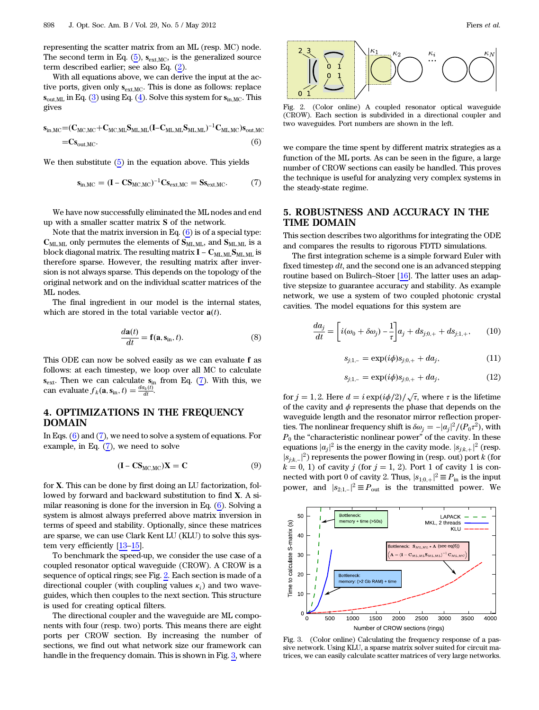representing the scatter matrix from an ML (resp. MC) node. The second term in Eq.  $(5)$ ,  $\mathbf{s}_{\text{ext,MC}}$ , is the generalized source term described earlier; see also Eq. ([2](#page-1-1)).

With all equations above, we can derive the input at the active ports, given only  $s_{ext,MC}$ . This is done as follows: replace  $s_{\text{out,ML}}$  in Eq. [\(3\)](#page-1-3) using Eq. [\(4\)](#page-1-4). Solve this system for  $s_{\text{in,MC}}$ . This gives

<span id="page-2-0"></span>
$$
\begin{aligned} s_{in,MC} &= \!\! (C_{MC,MC} \!+\! C_{MC,ML} S_{ML,ML} (I \!-\! C_{ML,ML} S_{ML,ML})^{-1} C_{ML,MC}) s_{out,MC} \\ &= \!\! C s_{out,MC}. \end{aligned} \tag{6}
$$

<span id="page-2-1"></span>We then substitute [\(5\)](#page-1-2) in the equation above. This yields

$$
\mathbf{s}_{\text{in,MC}} = (\mathbf{I} - \mathbf{C} \mathbf{S}_{\text{MC,MC}})^{-1} \mathbf{C} \mathbf{s}_{\text{ext,MC}} = \mathbf{S} \mathbf{s}_{\text{ext,MC}}.
$$
 (7)

We have now successfully eliminated the ML nodes and end up with a smaller scatter matrix S of the network.

Note that the matrix inversion in Eq.  $(6)$  $(6)$  $(6)$  is of a special type:  $C_{ML,ML}$  only permutes the elements of  $S_{ML,ML}$ , and  $S_{ML,ML}$  is a block diagonal matrix. The resulting matrix  $I - C_{MLML} S_{MLML}$  is therefore sparse. However, the resulting matrix after inversion is not always sparse. This depends on the topology of the original network and on the individual scatter matrices of the ML nodes.

The final ingredient in our model is the internal states, which are stored in the total variable vector  $\mathbf{a}(t)$ .

$$
\frac{d\mathbf{a}(t)}{dt} = \mathbf{f}(\mathbf{a}, \mathbf{s}_{\text{in}}, t). \tag{8}
$$

This ODE can now be solved easily as we can evaluate f as follows: at each timestep, we loop over all MC to calculate  $s_{\text{ext}}$ . Then we can calculate  $s_{\text{in}}$  from Eq. ([7](#page-2-1)). With this, we can evaluate  $f_k(\mathbf{a}, \mathbf{s}_{\text{in}}, t) = \frac{da_k(t)}{dt}$ .

# 4. OPTIMIZATIONS IN THE FREQUENCY DOMAIN

In Eqs. ([6](#page-2-0)) and [\(7\)](#page-2-1), we need to solve a system of equations. For example, in Eq. ([7](#page-2-1)), we need to solve

$$
(\mathbf{I} - \mathbf{C}\mathbf{S}_{\text{MC,MC}})\mathbf{X} = \mathbf{C}
$$
 (9)

for X. This can be done by first doing an LU factorization, followed by forward and backward substitution to find X. A similar reasoning is done for the inversion in Eq. [\(6\)](#page-2-0). Solving a system is almost always preferred above matrix inversion in terms of speed and stability. Optionally, since these matrices are sparse, we can use Clark Kent LU (KLU) to solve this system very efficiently [\[13](#page-4-12)–[15\]](#page-4-13).

To benchmark the speed-up, we consider the use case of a coupled resonator optical waveguide (CROW). A CROW is a sequence of optical rings; see Fig. [2](#page-2-2). Each section is made of a directional coupler (with coupling values  $\kappa_i$ ) and two waveguides, which then couples to the next section. This structure is used for creating optical filters.

The directional coupler and the waveguide are ML components with four (resp. two) ports. This means there are eight ports per CROW section. By increasing the number of sections, we find out what network size our framework can handle in the frequency domain. This is shown in Fig. [3](#page-2-3), where

<span id="page-2-2"></span>

Fig. 2. (Color online) A coupled resonator optical waveguide (CROW). Each section is subdivided in a directional coupler and two waveguides. Port numbers are shown in the left.

we compare the time spent by different matrix strategies as a function of the ML ports. As can be seen in the figure, a large number of CROW sections can easily be handled. This proves the technique is useful for analyzing very complex systems in the steady-state regime.

## 5. ROBUSTNESS AND ACCURACY IN THE TIME DOMAIN

This section describes two algorithms for integrating the ODE and compares the results to rigorous FDTD simulations.

The first integration scheme is a simple forward Euler with fixed timestep  $dt$ , and the second one is an advanced stepping routine based on Bulirch–Stoer  $[16]$  $[16]$ . The latter uses an adaptive stepsize to guarantee accuracy and stability. As example network, we use a system of two coupled photonic crystal cavities. The model equations for this system are

$$
\frac{da_j}{dt} = \left[i(\omega_0 + \delta\omega_j) - \frac{1}{\tau}\right]a_j + ds_{j;0,+} + ds_{j;1,+},\qquad(10)
$$

$$
s_{j;1,-} = \exp(i\phi)s_{j;0,+} + da_j, \qquad (11)
$$

$$
s_{j;1,-} = \exp(i\phi)s_{j;0,+} + da_j, \tag{12}
$$

for  $j = 1, 2$ . Here  $d = i \exp(i\phi/2) / \sqrt{\tau}$ , where  $\tau$  is the lifetime of the cavity and  $\phi$  represents the phase that depends on the waveguide length and the resonator mirror reflection properties. The nonlinear frequency shift is  $\delta \omega_j = -|a_j|^2 / (P_0 \tau^2)$ , with  $P_0$  the "characteristic nonlinear power" of the cavity. In these equations  $|a_j|^2$  is the energy in the cavity mode.  $|s_{j,k,+}|^2$  (resp.  $|s_{j,k,-}|^2$ ) represents the power flowing in (resp. out) port k (for  $k = 0, 1$ ) of cavity j (for  $j = 1, 2$ ). Port 1 of cavity 1 is connected with port 0 of cavity 2. Thus,  $|s_{1;0,+}|^2 \equiv P_{in}$  is the input power, and  $|s_{2;1,-}|^2 \equiv P_{\text{out}}$  is the transmitted power. We

<span id="page-2-3"></span>

Fig. 3. (Color online) Calculating the frequency response of a passive network. Using KLU, a sparse matrix solver suited for circuit matrices, we can easily calculate scatter matrices of very large networks.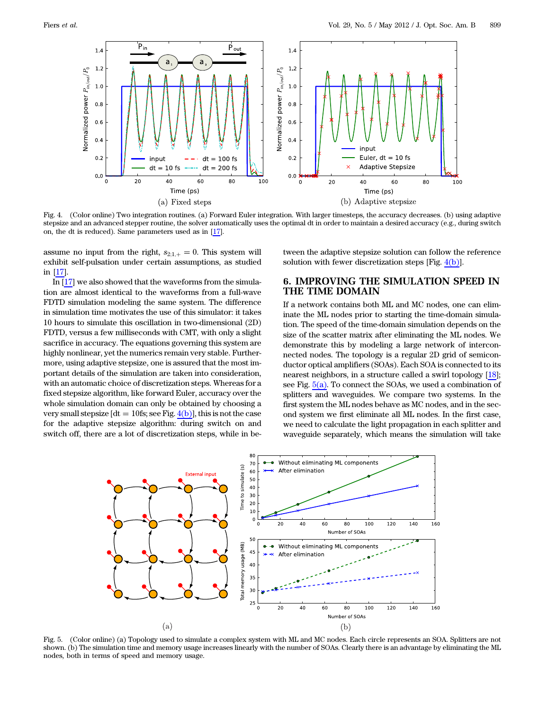<span id="page-3-0"></span>

Fig. 4. (Color online) Two integration routines. (a) Forward Euler integration. With larger timesteps, the accuracy decreases. (b) using adaptive stepsize and an advanced stepper routine, the solver automatically uses the optimal dt in order to maintain a desired accuracy (e.g., during switch on, the dt is reduced). Same parameters used as in [[17\]](#page-4-15).

assume no input from the right,  $s_{2:1,+}=0$ . This system will exhibit self-pulsation under certain assumptions, as studied in [[17](#page-4-15)].

In [[17\]](#page-4-15) we also showed that the waveforms from the simulation are almost identical to the waveforms from a full-wave FDTD simulation modeling the same system. The difference in simulation time motivates the use of this simulator: it takes 10 hours to simulate this oscillation in two-dimensional (2D) FDTD, versus a few milliseconds with CMT, with only a slight sacrifice in accuracy. The equations governing this system are highly nonlinear, yet the numerics remain very stable. Furthermore, using adaptive stepsize, one is assured that the most important details of the simulation are taken into consideration, with an automatic choice of discretization steps. Whereas for a fixed stepsize algorithm, like forward Euler, accuracy over the whole simulation domain can only be obtained by choosing a very small stepsize  $[dt = 10fs; see Fig. 4(b)], this is not the case$  $[dt = 10fs; see Fig. 4(b)], this is not the case$  $[dt = 10fs; see Fig. 4(b)], this is not the case$ for the adaptive stepsize algorithm: during switch on and switch off, there are a lot of discretization steps, while in be-

tween the adaptive stepsize solution can follow the reference solution with fewer discretization steps [Fig. [4\(b\)](#page-3-0)].

# 6. IMPROVING THE SIMULATION SPEED IN THE TIME DOMAIN

If a network contains both ML and MC nodes, one can eliminate the ML nodes prior to starting the time-domain simulation. The speed of the time-domain simulation depends on the size of the scatter matrix after eliminating the ML nodes. We demonstrate this by modeling a large network of interconnected nodes. The topology is a regular 2D grid of semiconductor optical amplifiers (SOAs). Each SOA is connected to its nearest neighbors, in a structure called a swirl topology [[18\]](#page-4-16); see Fig. [5\(a\)](#page-3-1). To connect the SOAs, we used a combination of splitters and waveguides. We compare two systems. In the first system the ML nodes behave as MC nodes, and in the second system we first eliminate all ML nodes. In the first case, we need to calculate the light propagation in each splitter and waveguide separately, which means the simulation will take

<span id="page-3-1"></span>

Fig. 5. (Color online) (a) Topology used to simulate a complex system with ML and MC nodes. Each circle represents an SOA. Splitters are not shown. (b) The simulation time and memory usage increases linearly with the number of SOAs. Clearly there is an advantage by eliminating the ML nodes, both in terms of speed and memory usage.